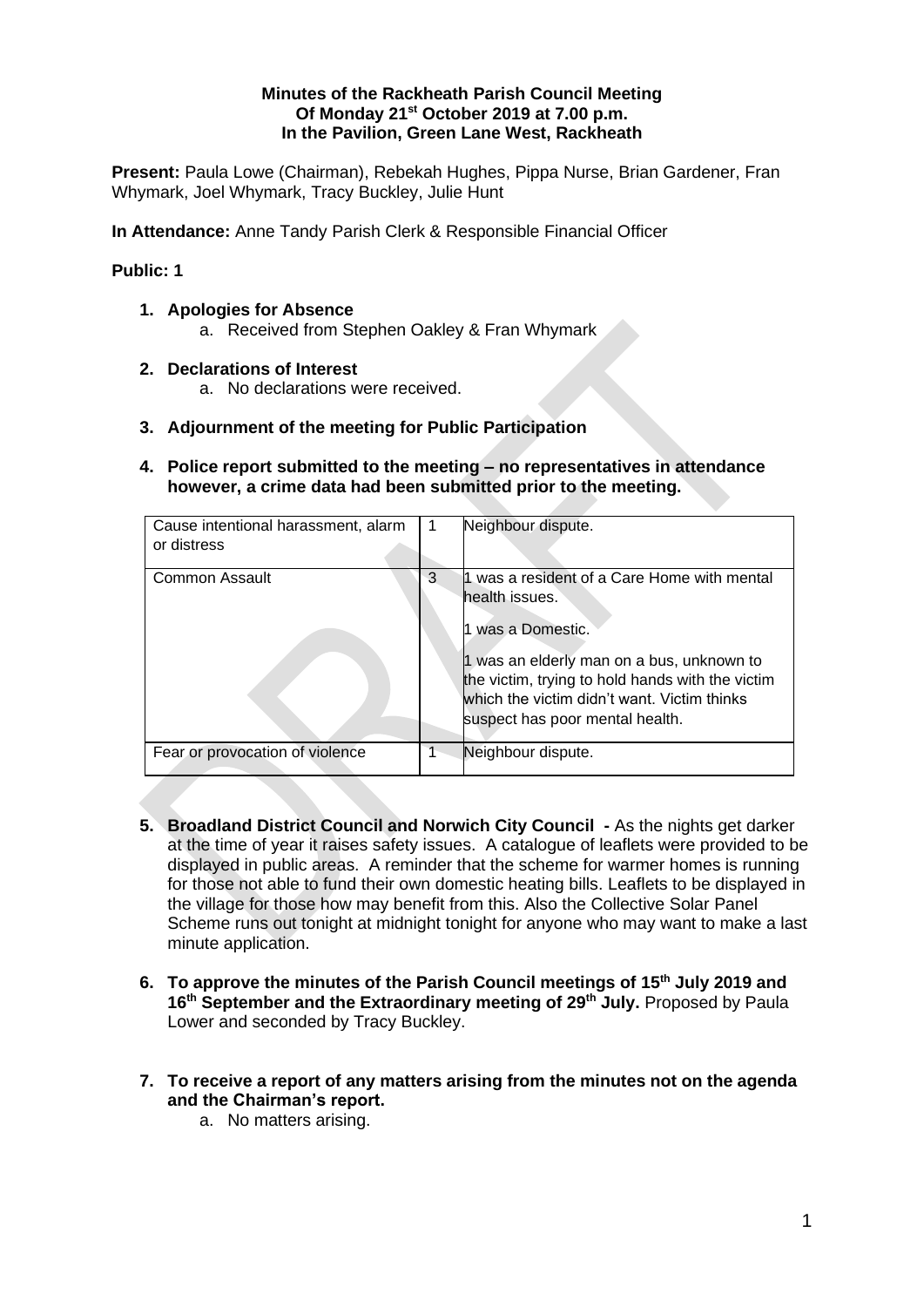### **Minutes of the Rackheath Parish Council Meeting Of Monday 21st October 2019 at 7.00 p.m. In the Pavilion, Green Lane West, Rackheath**

**Present:** Paula Lowe (Chairman), Rebekah Hughes, Pippa Nurse, Brian Gardener, Fran Whymark, Joel Whymark, Tracy Buckley, Julie Hunt

**In Attendance:** Anne Tandy Parish Clerk & Responsible Financial Officer

# **Public: 1**

- **1. Apologies for Absence**
	- a. Received from Stephen Oakley & Fran Whymark
- **2. Declarations of Interest**
	- a. No declarations were received.
- **3. Adjournment of the meeting for Public Participation**
- **4. Police report submitted to the meeting – no representatives in attendance however, a crime data had been submitted prior to the meeting.**

| Cause intentional harassment, alarm<br>or distress |   | Neighbour dispute.                                                                                                                                                                                                                                                  |
|----------------------------------------------------|---|---------------------------------------------------------------------------------------------------------------------------------------------------------------------------------------------------------------------------------------------------------------------|
| Common Assault                                     | 3 | 1 was a resident of a Care Home with mental<br>health issues.<br>was a Domestic.<br>1 was an elderly man on a bus, unknown to<br>the victim, trying to hold hands with the victim<br>which the victim didn't want. Victim thinks<br>suspect has poor mental health. |
| Fear or provocation of violence                    |   | Neighbour dispute.                                                                                                                                                                                                                                                  |

- **5. Broadland District Council and Norwich City Council -** As the nights get darker at the time of year it raises safety issues. A catalogue of leaflets were provided to be displayed in public areas. A reminder that the scheme for warmer homes is running for those not able to fund their own domestic heating bills. Leaflets to be displayed in the village for those how may benefit from this. Also the Collective Solar Panel Scheme runs out tonight at midnight tonight for anyone who may want to make a last minute application.
- **6. To approve the minutes of the Parish Council meetings of 15th July 2019 and 16th September and the Extraordinary meeting of 29th July.** Proposed by Paula Lower and seconded by Tracy Buckley.
- **7. To receive a report of any matters arising from the minutes not on the agenda and the Chairman's report.**
	- a. No matters arising.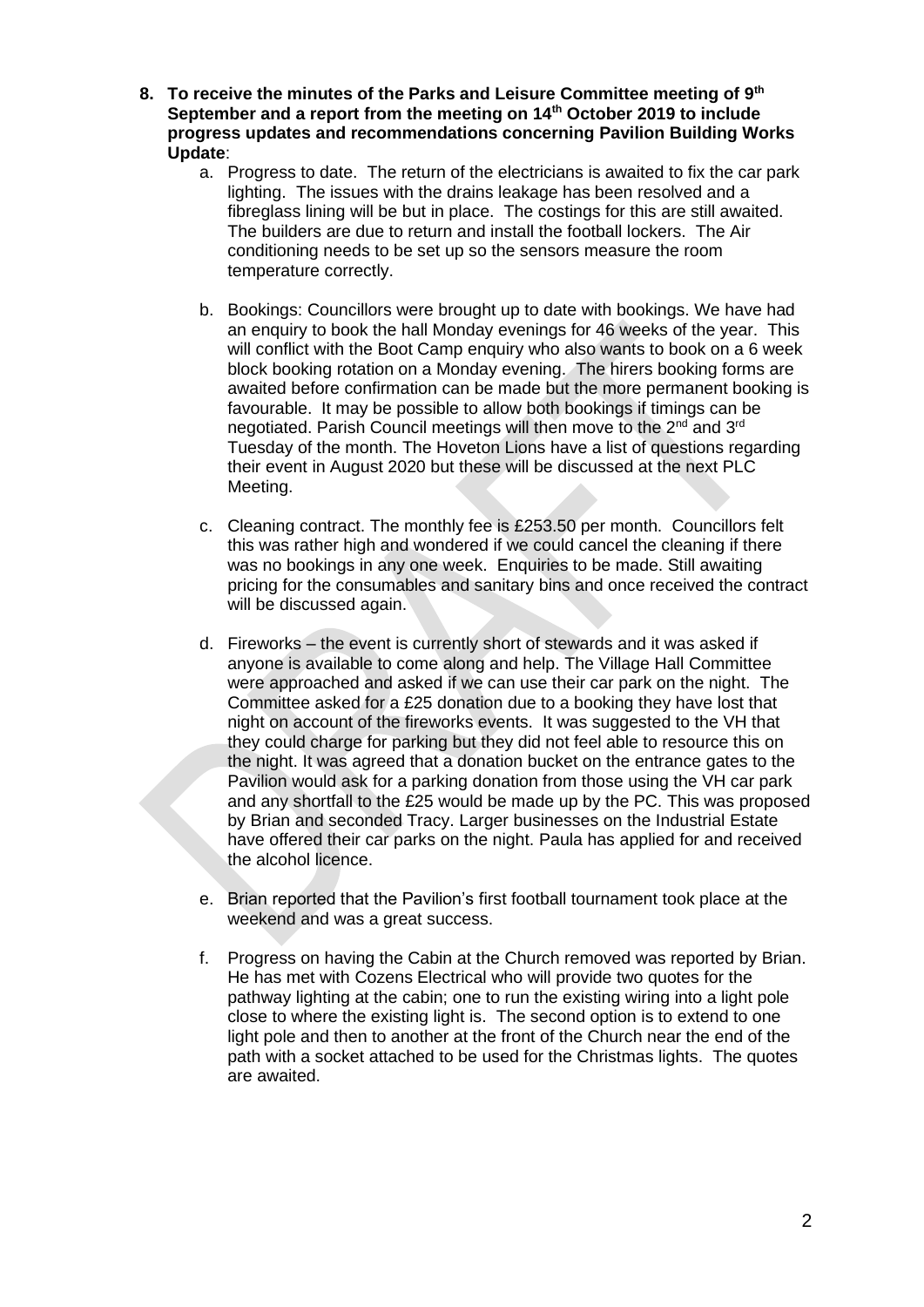- **8. To receive the minutes of the Parks and Leisure Committee meeting of 9th September and a report from the meeting on 14th October 2019 to include progress updates and recommendations concerning Pavilion Building Works Update**:
	- a. Progress to date. The return of the electricians is awaited to fix the car park lighting. The issues with the drains leakage has been resolved and a fibreglass lining will be but in place. The costings for this are still awaited. The builders are due to return and install the football lockers. The Air conditioning needs to be set up so the sensors measure the room temperature correctly.
	- b. Bookings: Councillors were brought up to date with bookings. We have had an enquiry to book the hall Monday evenings for 46 weeks of the year. This will conflict with the Boot Camp enquiry who also wants to book on a 6 week block booking rotation on a Monday evening. The hirers booking forms are awaited before confirmation can be made but the more permanent booking is favourable. It may be possible to allow both bookings if timings can be negotiated. Parish Council meetings will then move to the 2<sup>nd</sup> and 3<sup>rd</sup> Tuesday of the month. The Hoveton Lions have a list of questions regarding their event in August 2020 but these will be discussed at the next PLC Meeting.
	- c. Cleaning contract. The monthly fee is £253.50 per month. Councillors felt this was rather high and wondered if we could cancel the cleaning if there was no bookings in any one week. Enquiries to be made. Still awaiting pricing for the consumables and sanitary bins and once received the contract will be discussed again.
	- d. Fireworks the event is currently short of stewards and it was asked if anyone is available to come along and help. The Village Hall Committee were approached and asked if we can use their car park on the night. The Committee asked for a £25 donation due to a booking they have lost that night on account of the fireworks events. It was suggested to the VH that they could charge for parking but they did not feel able to resource this on the night. It was agreed that a donation bucket on the entrance gates to the Pavilion would ask for a parking donation from those using the VH car park and any shortfall to the £25 would be made up by the PC. This was proposed by Brian and seconded Tracy. Larger businesses on the Industrial Estate have offered their car parks on the night. Paula has applied for and received the alcohol licence.
	- e. Brian reported that the Pavilion's first football tournament took place at the weekend and was a great success.
	- f. Progress on having the Cabin at the Church removed was reported by Brian. He has met with Cozens Electrical who will provide two quotes for the pathway lighting at the cabin; one to run the existing wiring into a light pole close to where the existing light is. The second option is to extend to one light pole and then to another at the front of the Church near the end of the path with a socket attached to be used for the Christmas lights. The quotes are awaited.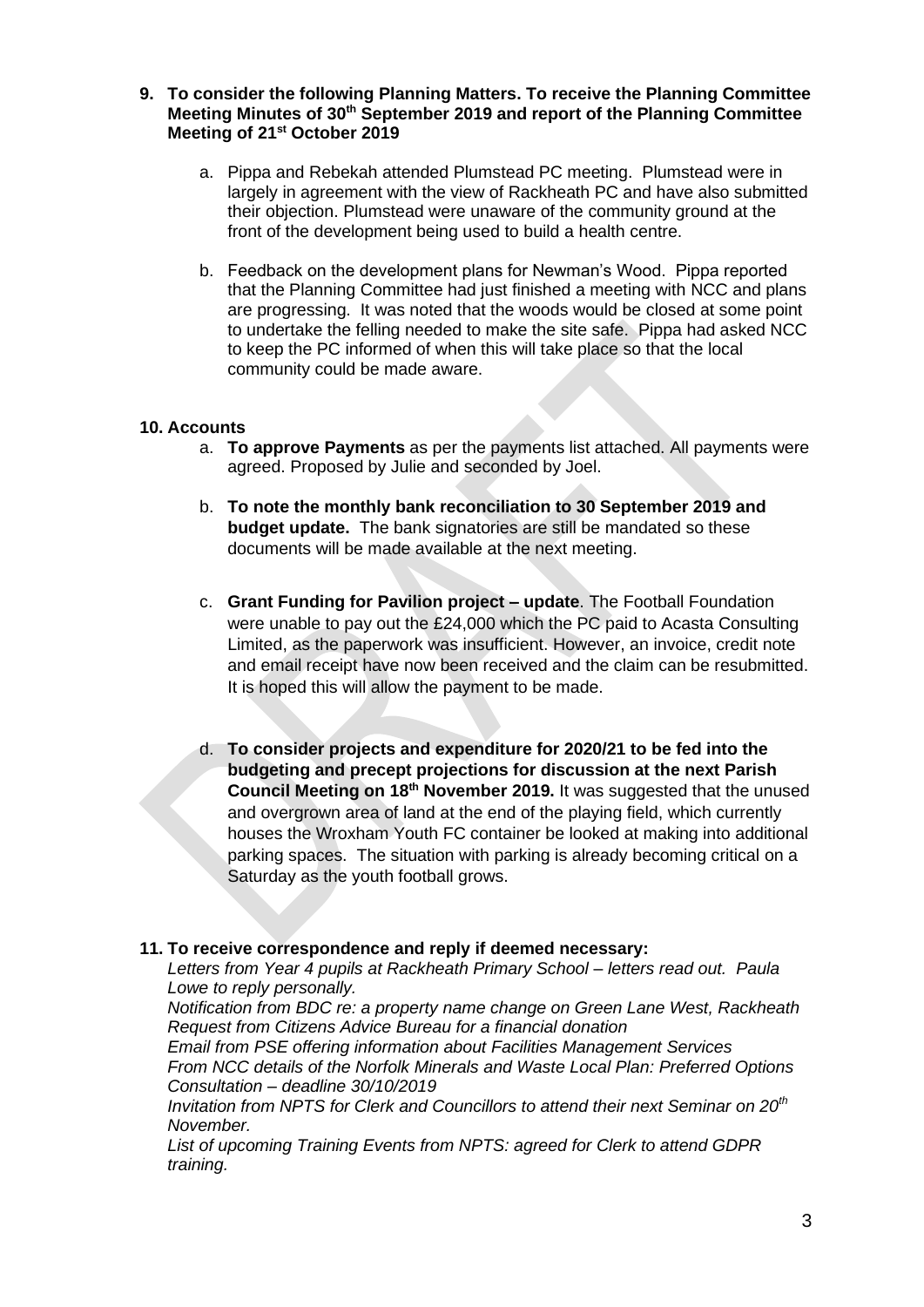### **9. To consider the following Planning Matters. To receive the Planning Committee Meeting Minutes of 30th September 2019 and report of the Planning Committee Meeting of 21st October 2019**

- a. Pippa and Rebekah attended Plumstead PC meeting. Plumstead were in largely in agreement with the view of Rackheath PC and have also submitted their objection. Plumstead were unaware of the community ground at the front of the development being used to build a health centre.
- b. Feedback on the development plans for Newman's Wood. Pippa reported that the Planning Committee had just finished a meeting with NCC and plans are progressing. It was noted that the woods would be closed at some point to undertake the felling needed to make the site safe. Pippa had asked NCC to keep the PC informed of when this will take place so that the local community could be made aware.

# **10. Accounts**

- a. **To approve Payments** as per the payments list attached. All payments were agreed. Proposed by Julie and seconded by Joel.
- b. **To note the monthly bank reconciliation to 30 September 2019 and budget update.** The bank signatories are still be mandated so these documents will be made available at the next meeting.
- c. **Grant Funding for Pavilion project – update**. The Football Foundation were unable to pay out the £24,000 which the PC paid to Acasta Consulting Limited, as the paperwork was insufficient. However, an invoice, credit note and email receipt have now been received and the claim can be resubmitted. It is hoped this will allow the payment to be made.
- d. **To consider projects and expenditure for 2020/21 to be fed into the budgeting and precept projections for discussion at the next Parish Council Meeting on 18th November 2019.** It was suggested that the unused and overgrown area of land at the end of the playing field, which currently houses the Wroxham Youth FC container be looked at making into additional parking spaces. The situation with parking is already becoming critical on a Saturday as the youth football grows.

### **11. To receive correspondence and reply if deemed necessary:**

*Letters from Year 4 pupils at Rackheath Primary School – letters read out. Paula Lowe to reply personally.*

*Notification from BDC re: a property name change on Green Lane West, Rackheath Request from Citizens Advice Bureau for a financial donation*

*Email from PSE offering information about Facilities Management Services From NCC details of the Norfolk Minerals and Waste Local Plan: Preferred Options Consultation – deadline 30/10/2019*

*Invitation from NPTS for Clerk and Councillors to attend their next Seminar on 20th November.*

*List of upcoming Training Events from NPTS: agreed for Clerk to attend GDPR training.*